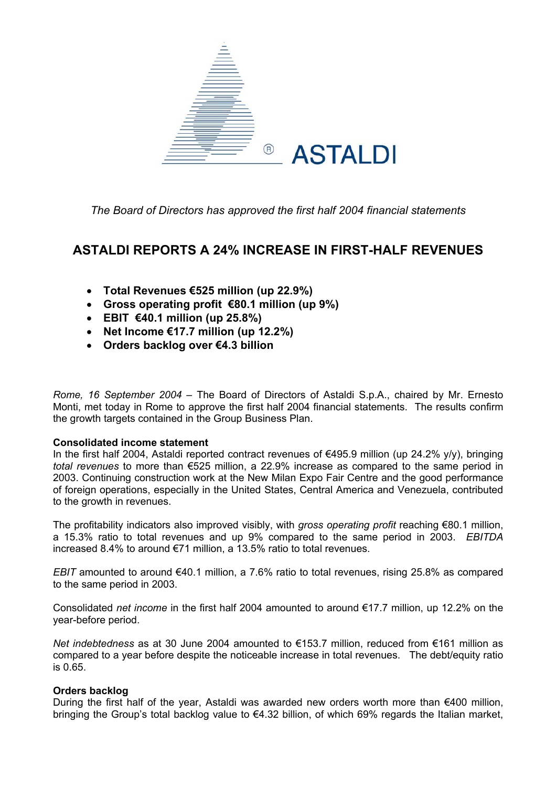

*The Board of Directors has approved the first half 2004 financial statements* 

### **ASTALDI REPORTS A 24% INCREASE IN FIRST-HALF REVENUES**

- **Total Revenues €525 million (up 22.9%)**
- **Gross operating profit €80.1 million (up 9%)**
- **EBIT €40.1 million (up 25.8%)**
- **Net Income €17.7 million (up 12.2%)**
- **Orders backlog over €4.3 billion**

*Rome, 16 September 2004 –* The Board of Directors of Astaldi S.p.A., chaired by Mr. Ernesto Monti, met today in Rome to approve the first half 2004 financial statements. The results confirm the growth targets contained in the Group Business Plan.

#### **Consolidated income statement**

In the first half 2004, Astaldi reported contract revenues of €495.9 million (up 24.2% y/y), bringing *total revenues* to more than €525 million, a 22.9% increase as compared to the same period in 2003. Continuing construction work at the New Milan Expo Fair Centre and the good performance of foreign operations, especially in the United States, Central America and Venezuela, contributed to the growth in revenues.

The profitability indicators also improved visibly, with *gross operating profit* reaching €80.1 million, a 15.3% ratio to total revenues and up 9% compared to the same period in 2003. *EBITDA* increased 8.4% to around €71 million, a 13.5% ratio to total revenues.

*EBIT* amounted to around €40.1 million, a 7.6% ratio to total revenues, rising 25.8% as compared to the same period in 2003.

Consolidated *net income* in the first half 2004 amounted to around €17.7 million, up 12.2% on the year-before period.

*Net indebtedness* as at 30 June 2004 amounted to €153.7 million, reduced from €161 million as compared to a year before despite the noticeable increase in total revenues. The debt/equity ratio is 0.65.

#### **Orders backlog**

During the first half of the year. Astaldi was awarded new orders worth more than  $\epsilon$ 400 million, bringing the Group's total backlog value to €4.32 billion, of which 69% regards the Italian market,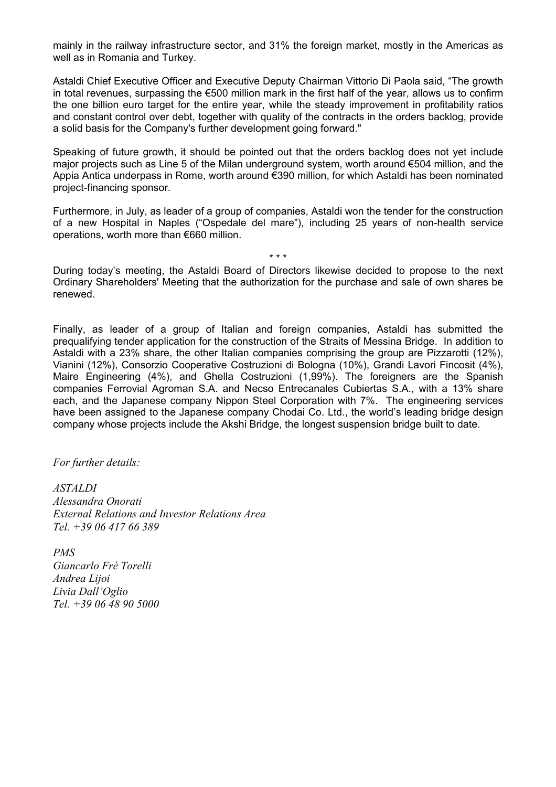mainly in the railway infrastructure sector, and 31% the foreign market, mostly in the Americas as well as in Romania and Turkey.

Astaldi Chief Executive Officer and Executive Deputy Chairman Vittorio Di Paola said, "The growth in total revenues, surpassing the €500 million mark in the first half of the year, allows us to confirm the one billion euro target for the entire year, while the steady improvement in profitability ratios and constant control over debt, together with quality of the contracts in the orders backlog, provide a solid basis for the Company's further development going forward."

Speaking of future growth, it should be pointed out that the orders backlog does not yet include major projects such as Line 5 of the Milan underground system, worth around €504 million, and the Appia Antica underpass in Rome, worth around €390 million, for which Astaldi has been nominated project-financing sponsor.

Furthermore, in July, as leader of a group of companies, Astaldi won the tender for the construction of a new Hospital in Naples ("Ospedale del mare"), including 25 years of non-health service operations, worth more than €660 million.

During today's meeting, the Astaldi Board of Directors likewise decided to propose to the next Ordinary Shareholders' Meeting that the authorization for the purchase and sale of own shares be renewed.

\* \* \*

Finally, as leader of a group of Italian and foreign companies, Astaldi has submitted the prequalifying tender application for the construction of the Straits of Messina Bridge. In addition to Astaldi with a 23% share, the other Italian companies comprising the group are Pizzarotti (12%), Vianini (12%), Consorzio Cooperative Costruzioni di Bologna (10%), Grandi Lavori Fincosit (4%), Maire Engineering (4%), and Ghella Costruzioni (1,99%). The foreigners are the Spanish companies Ferrovial Agroman S.A. and Necso Entrecanales Cubiertas S.A., with a 13% share each, and the Japanese company Nippon Steel Corporation with 7%. The engineering services have been assigned to the Japanese company Chodai Co. Ltd., the world's leading bridge design company whose projects include the Akshi Bridge, the longest suspension bridge built to date.

*For further details:* 

*ASTALDI Alessandra Onorati External Relations and Investor Relations Area Tel. +39 06 417 66 389* 

*PMS Giancarlo Frè Torelli Andrea Lijoi Livia Dall'Oglio Tel. +39 06 48 90 5000*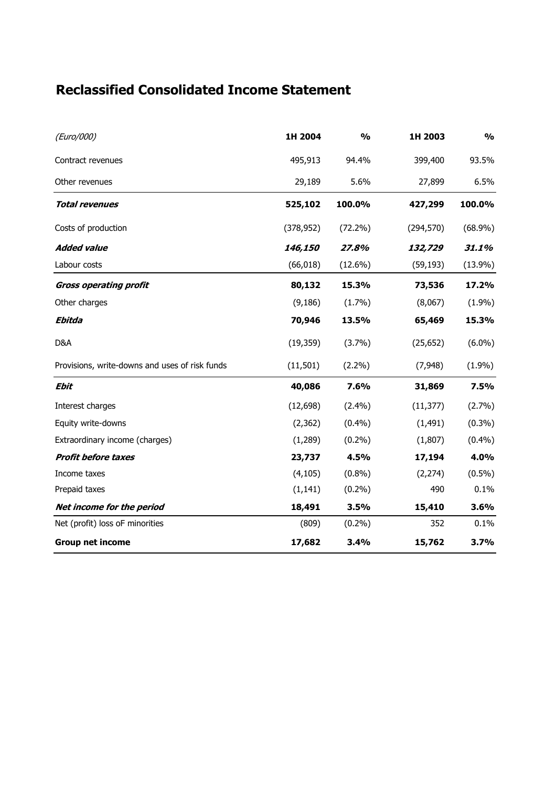## **Reclassified Consolidated Income Statement**

| (Euro/000)                                     | 1H 2004    | $\frac{1}{2}$ | 1H 2003    | $\frac{0}{0}$ |
|------------------------------------------------|------------|---------------|------------|---------------|
| Contract revenues                              | 495,913    | 94.4%         | 399,400    | 93.5%         |
| Other revenues                                 | 29,189     | 5.6%          | 27,899     | 6.5%          |
| <b>Total revenues</b>                          | 525,102    | 100.0%        | 427,299    | 100.0%        |
| Costs of production                            | (378, 952) | $(72.2\%)$    | (294, 570) | $(68.9\%)$    |
| <b>Added value</b>                             | 146,150    | 27.8%         | 132,729    | 31.1%         |
| Labour costs                                   | (66, 018)  | $(12.6\%)$    | (59, 193)  | $(13.9\%)$    |
| <b>Gross operating profit</b>                  | 80,132     | 15.3%         | 73,536     | 17.2%         |
| Other charges                                  | (9, 186)   | (1.7%)        | (8,067)    | (1.9%)        |
| Ebitda                                         | 70,946     | 13.5%         | 65,469     | 15.3%         |
| D&A                                            | (19, 359)  | (3.7%)        | (25, 652)  | $(6.0\%)$     |
| Provisions, write-downs and uses of risk funds | (11, 501)  | $(2.2\%)$     | (7,948)    | (1.9%)        |
| <b>Ebit</b>                                    | 40,086     | 7.6%          | 31,869     | 7.5%          |
| Interest charges                               | (12, 698)  | (2.4%)        | (11, 377)  | (2.7%)        |
| Equity write-downs                             | (2, 362)   | (0.4% )       | (1, 491)   | $(0.3\%)$     |
| Extraordinary income (charges)                 | (1, 289)   | $(0.2\%)$     | (1,807)    | (0.4%)        |
| <b>Profit before taxes</b>                     | 23,737     | 4.5%          | 17,194     | 4.0%          |
| Income taxes                                   | (4, 105)   | $(0.8\%)$     | (2, 274)   | $(0.5\%)$     |
| Prepaid taxes                                  | (1, 141)   | $(0.2\%)$     | 490        | 0.1%          |
| Net income for the period                      | 18,491     | 3.5%          | 15,410     | 3.6%          |
| Net (profit) loss oF minorities                | (809)      | $(0.2\%)$     | 352        | 0.1%          |
| <b>Group net income</b>                        | 17,682     | 3.4%          | 15,762     | 3.7%          |